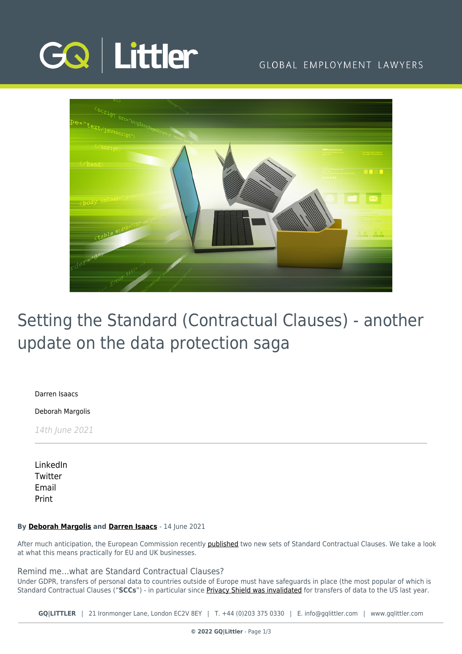

## GLOBAL EMPLOYMENT LAWYERS



# Setting the Standard (Contractual Clauses) - another update on the data protection saga

[Darren Isaacs](https://www.gqlittler.com/about-us/the-team/darren-isaacs)

[Deborah Margolis](https://www.gqlittler.com/about-us/the-team/deborah-margolis)

14th June 2021

[LinkedIn](https://www.linkedin.com/shareArticle?mini=true&url=https%3A%2F%2Fwww.gqlittler.com%2Fresources%2Fnews-and-views%2Fsetting-the-standard-contractual-clauses-another-update-on-the-data-protection-saga.htm%3Funlock%3Dtrue&title=Setting+the+Standard+%28Contractual+Clauses%29+-+another+update+on+the+data+protection+saga&summary=The+European+Commission+recently+published+two+new+sets+of+Standard+Contractual+Clauses.+We+take+a+look+at+what+this+means+practically+for+EU+and+UK+businesses.&source=GQ+%7C+Littler) **[Twitter](https://twitter.com/share?text=Setting+the+Standard+%28Contractual+Clauses%29+-+another+update+on+the+data+protection+saga&url=https%3A%2F%2Fwww.gqlittler.com%2Fresources%2Fnews-and-views%2Fsetting-the-standard-contractual-clauses-another-update-on-the-data-protection-saga.htm&hashtags=)** [Email](mailto:?subject=Setting the Standard (Contractual Clauses) - another update on the data protection saga&body=I) [Print](https://www.bg-pdf.co.uk/_GQ/page.php?M=6148523063484d364c793933643363755a33467361585230624756794c6d4e76625339795a584e7664584a6a5a584d76626d563363793168626d5174646d6c6c64334d766332563064476c755a7931306147557463335268626d5268636d51745932397564484a6859335231595777745932786864584e6c63793168626d3930614756794c5856775a4746305a53317662693130614755745a47463059533177636d39305a574e30615739754c584e685a324575614852744930416a5532563064476c755a7942306147556755335268626d5268636d51674b454e76626e527959574e306457467349454e735958567a5a584d7049433067595735766447686c636942316347526864475567623234676447686c494752686447456763484a766447566a64476c766269427a595764684930416a6332563064476c755a7931306147557463335268626d5268636d51745932397564484a6859335231595777745932786864584e6c63793168626d3930614756794c5856775a4746305a53317662693130614755745a47463059533177636d39305a574e30615739754c584e685a32453d)

#### **By [Deborah Margolis](https://www.gqlittler.com/about-us/the-team/deborah-margolis) and [Darren Isaacs](https://www.gqlittler.com/about-us/the-team/darren-isaacs)** - 14 June 2021

After much anticipation, the European Commission recently [published](https://ec.europa.eu/commission/presscorner/detail/en/ip_21_2847) two new sets of Standard Contractual Clauses. We take a look at what this means practically for EU and UK businesses.

Remind me…what are Standard Contractual Clauses?

Under GDPR, transfers of personal data to countries outside of Europe must have safeguards in place (the most popular of which is Standard Contractual Clauses ("**SCCs**") - in particular since [Privacy Shield was invalidated](https://www.gqlittler.com/resources/news-and-views/european-court-throws-out-eu-us-data-transfer-regime-again.htm) for transfers of data to the US last year.

**GQ|LITTLER** | 21 Ironmonger Lane, London EC2V 8EY | T. [+44 \(0\)203 375 0330](https://www.bg-pdf.co.uk/_GQ/tel:+442033750330) | E. [info@gqlittler.com](mailto:info@gqlittler.com) | [www.gqlittler.com](https://www.gqlittler.com)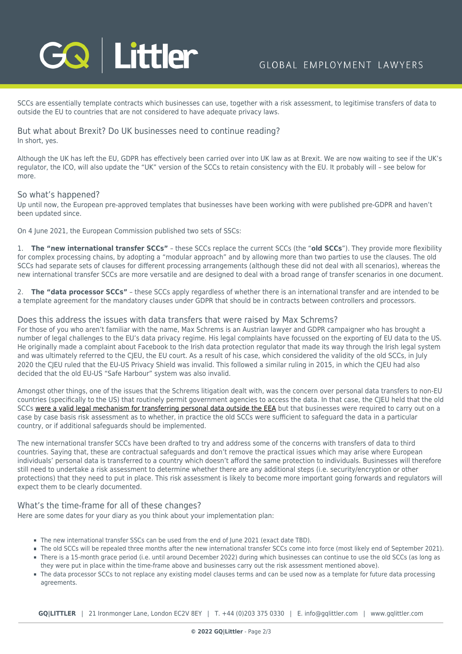

SCCs are essentially template contracts which businesses can use, together with a risk assessment, to legitimise transfers of data to outside the EU to countries that are not considered to have adequate privacy laws.

But what about Brexit? Do UK businesses need to continue reading? In short, yes.

Although the UK has left the EU, GDPR has effectively been carried over into UK law as at Brexit. We are now waiting to see if the UK's regulator, the ICO, will also update the "UK" version of the SCCs to retain consistency with the EU. It probably will – see below for more

### So what's happened?

Up until now, the European pre-approved templates that businesses have been working with were published pre-GDPR and haven't been updated since.

On 4 June 2021, the European Commission published two sets of SSCs:

1. **The "new international transfer SCCs"** – these SCCs replace the current SCCs (the "**old SCCs**"). They provide more flexibility for complex processing chains, by adopting a "modular approach" and by allowing more than two parties to use the clauses. The old SCCs had separate sets of clauses for different processing arrangements (although these did not deal with all scenarios), whereas the new international transfer SCCs are more versatile and are designed to deal with a broad range of transfer scenarios in one document.

2. **The "data processor SCCs"** – these SCCs apply regardless of whether there is an international transfer and are intended to be a template agreement for the mandatory clauses under GDPR that should be in contracts between controllers and processors.

#### Does this address the issues with data transfers that were raised by Max Schrems?

For those of you who aren't familiar with the name, Max Schrems is an Austrian lawyer and GDPR campaigner who has brought a number of legal challenges to the EU's data privacy regime. His legal complaints have focussed on the exporting of EU data to the US. He originally made a complaint about Facebook to the Irish data protection regulator that made its way through the Irish legal system and was ultimately referred to the CJEU, the EU court. As a result of his case, which considered the validity of the old SCCs, in July 2020 the CJEU ruled that the EU-US Privacy Shield was invalid. This followed a similar ruling in 2015, in which the CJEU had also decided that the old EU-US "Safe Harbour" system was also invalid.

Amongst other things, one of the issues that the Schrems litigation dealt with, was the concern over personal data transfers to non-EU countries (specifically to the US) that routinely permit government agencies to access the data. In that case, the CJEU held that the old SCCs [were a valid legal mechanism for transferring personal data outside the EEA](https://www.gqlittler.com/resources/news-and-views/european-court-throws-out-eu-us-data-transfer-regime-again.htm) but that businesses were required to carry out on a case by case basis risk assessment as to whether, in practice the old SCCs were sufficient to safeguard the data in a particular country, or if additional safeguards should be implemented.

The new international transfer SCCs have been drafted to try and address some of the concerns with transfers of data to third countries. Saying that, these are contractual safeguards and don't remove the practical issues which may arise where European individuals' personal data is transferred to a country which doesn't afford the same protection to individuals. Businesses will therefore still need to undertake a risk assessment to determine whether there are any additional steps (i.e. security/encryption or other protections) that they need to put in place. This risk assessment is likely to become more important going forwards and regulators will expect them to be clearly documented.

### What's the time-frame for all of these changes?

Here are some dates for your diary as you think about your implementation plan:

- The new international transfer SSCs can be used from the end of June 2021 (exact date TBD).
- The old SCCs will be repealed three months after the new international transfer SCCs come into force (most likely end of September 2021).
- There is a 15-month grace period (i.e. until around December 2022) during which businesses can continue to use the old SCCs (as long as they were put in place within the time-frame above and businesses carry out the risk assessment mentioned above).
- The data processor SCCs to not replace any existing model clauses terms and can be used now as a template for future data processing agreements.

**GQ|LITTLER** | 21 Ironmonger Lane, London EC2V 8EY | T. [+44 \(0\)203 375 0330](https://www.bg-pdf.co.uk/_GQ/tel:+442033750330) | E. [info@gqlittler.com](mailto:info@gqlittler.com) | [www.gqlittler.com](https://www.gqlittler.com)